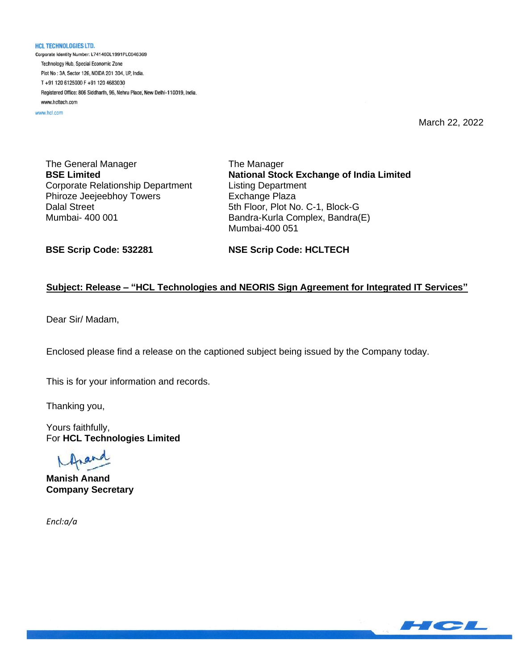**HCL TECHNOLOGIES LTD.** Corporate Identity Number: L74140DL1991PLC046369 Technology Hub, Special Economic Zone Plot No: 3A, Sector 126, NOIDA 201 304, UP, India. T+91 120 6125000 F+91 120 4683030 Registered Office: 806 Siddharth, 96, Nehru Place, New Delhi-110019, India. www.hcltech.com

www.hcl.com

March 22, 2022

The General Manager **BSE Limited** Corporate Relationship Department Phiroze Jeejeebhoy Towers Dalal Street Mumbai- 400 001

The Manager **National Stock Exchange of India Limited** Listing Department Exchange Plaza 5th Floor, Plot No. C-1, Block-G Bandra-Kurla Complex, Bandra(E) Mumbai-400 051

**BSE Scrip Code: 532281**

**NSE Scrip Code: HCLTECH**

### **Subject: Release – "HCL Technologies and NEORIS Sign Agreement for Integrated IT Services"**

Dear Sir/ Madam,

Enclosed please find a release on the captioned subject being issued by the Company today.

This is for your information and records.

Thanking you,

Yours faithfully, For **HCL Technologies Limited**

rand

**Manish Anand Company Secretary**

*Encl:a/a*

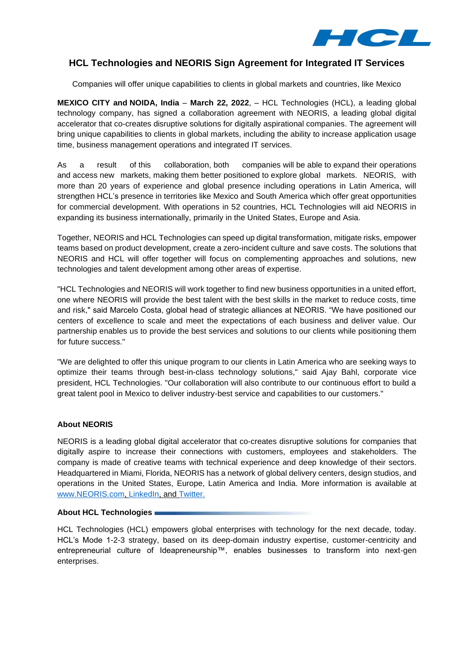

## **HCL Technologies and NEORIS Sign Agreement for Integrated IT Services**

Companies will offer unique capabilities to clients in global markets and countries, like Mexico

**MEXICO CITY and NOIDA, India** – **March 22, 2022**, – HCL Technologies (HCL), a leading global technology company, has signed a collaboration agreement with NEORIS, a leading global digital accelerator that co-creates disruptive solutions for digitally aspirational companies. The agreement will bring unique capabilities to clients in global markets, including the ability to increase application usage time, business management operations and integrated IT services.

As a result of this collaboration, both companies will be able to expand their operations and access new markets, making them better positioned to explore global markets. NEORIS, with more than 20 years of experience and global presence including operations in Latin America, will strengthen HCL's presence in territories like Mexico and South America which offer great opportunities for commercial development. With operations in 52 countries, HCL Technologies will aid NEORIS in expanding its business internationally, primarily in the United States, Europe and Asia.

Together, NEORIS and HCL Technologies can speed up digital transformation, mitigate risks, empower teams based on product development, create a zero-incident culture and save costs. The solutions that NEORIS and HCL will offer together will focus on complementing approaches and solutions, new technologies and talent development among other areas of expertise.

"HCL Technologies and NEORIS will work together to find new business opportunities in a united effort, one where NEORIS will provide the best talent with the best skills in the market to reduce costs, time and risk," said Marcelo Costa, global head of strategic alliances at NEORIS. "We have positioned our centers of excellence to scale and meet the expectations of each business and deliver value. Our partnership enables us to provide the best services and solutions to our clients while positioning them for future success."

"We are delighted to offer this unique program to our clients in Latin America who are seeking ways to optimize their teams through best-in-class technology solutions," said Ajay Bahl, corporate vice president, HCL Technologies. "Our collaboration will also contribute to our continuous effort to build a great talent pool in Mexico to deliver industry-best service and capabilities to our customers."

### **About NEORIS**

NEORIS is a leading global digital accelerator that co-creates disruptive solutions for companies that digitally aspire to increase their connections with customers, employees and stakeholders. The company is made of creative teams with technical experience and deep knowledge of their sectors. Headquartered in Miami, Florida, NEORIS has a network of global delivery centers, design studios, and operations in the United States, Europe, Latin America and India. More information is available at [www.NEORIS.com,](file:///C:/Users/karlaaguilar/Downloads/www.NEORIS.com) [LinkedIn,](https://www.linkedin.com/company/neoris/) and [Twitter.](https://twitter.com/neoris_eng)

#### **About HCL Technologies**

HCL Technologies (HCL) empowers global enterprises with technology for the next decade, today. HCL's Mode 1-2-3 strategy, based on its deep-domain industry expertise, customer-centricity and entrepreneurial culture of Ideapreneurship™, enables businesses to transform into next-gen enterprises.